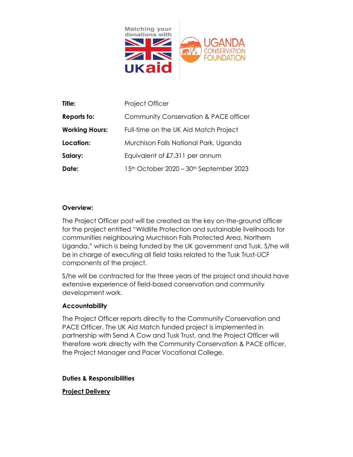

| Title:                | Project Officer                                                 |
|-----------------------|-----------------------------------------------------------------|
| Reports to:           | Community Conservation & PACE officer                           |
| <b>Working Hours:</b> | Full-time on the UK Aid Match Project                           |
| Location:             | Murchison Falls National Park, Uganda                           |
| Salary:               | Equivalent of £7,311 per annum                                  |
| Date:                 | 15 <sup>th</sup> October 2020 – 30 <sup>th</sup> September 2023 |

## **Overview:**

The Project Officer post will be created as the key on-the-ground officer for the project entitled "Wildlife Protection and sustainable livelihoods for communities neighbouring Murchison Falls Protected Area, Northern Uganda," which is being funded by the UK government and Tusk. S/he will be in charge of executing all field tasks related to the Tusk Trust-UCF components of the project.

S/he will be contracted for the three years of the project and should have extensive experience of field-based conservation and community development work.

### **Accountability**

The Project Officer reports directly to the Community Conservation and PACE Officer. The UK Aid Match funded project is implemented in partnership with Send A Cow and Tusk Trust, and the Project Officer will therefore work directly with the Community Conservation & PACE officer, the Project Manager and Pacer Vocational College.

### **Duties & Responsibilities**

### **Project Delivery**